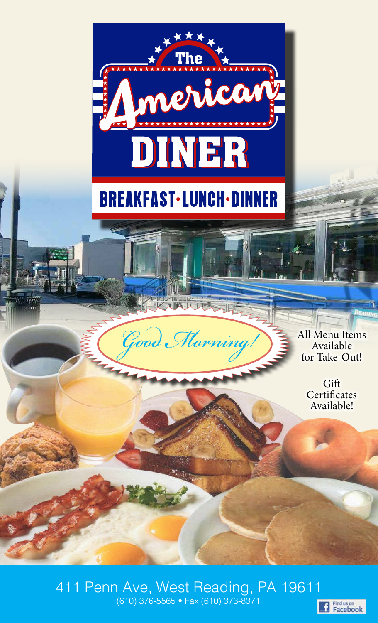

 $\mathcal{G}$ ood *Morning*!

Available for Take-Out!

> **Gift Certificates** Available!

(610) 376-5565 • Fax (610) 373-8371 411 Penn Ave, West Reading, PA 19611

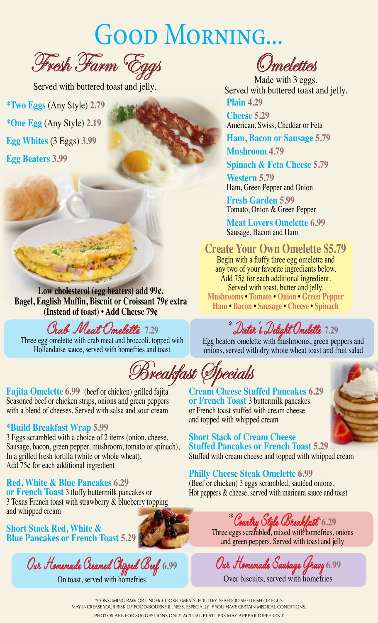# GOOD MORNING...

Fresh Farm Eggs

Served with buttered toast and jelly.

**\*Two Eggs** (Any Style) **2.79 \*One Egg** (Any Style) **2.19 Egg Whites** (3 Eggs) **3.99 Egg Beaters 3.99**

**Low cholesterol (egg beaters) add 99¢. Bagel, English Muffin, Biscuit or Croissant 79¢ extra (Instead of toast) • Add Cheese 79¢**

### Crab Meat Omelette **7.29**

Three egg omelette with crab meat and broccoli, topped with Hollandaise sauce, served with homefries and toast

**Fajita Omelette 6.99** (beef or chicken) grilled fajita Seasoned beef or chicken strips, onions and green peppers with a blend of cheeses. Served with salsa and sour cream

#### **\*Build Breakfast Wrap 5.99**

3 Eggs scrambled with a choice of 2 items (onion, cheese, Sausage, bacon, green pepper, mushroom, tomato or spinach), In a grilled fresh tortilla (white or whole wheat), Add 75¢ for each additional ingredient

#### **Red, White & Blue Pancakes 6.29**

**or French Toast** 3 fluffy buttermilk pancakes or 3 Texas French toast with strawberry & blueberry topping and whipped cream

**Short Stack Red, White & Blue Pancakes or French Toast 5.29**

Our Homemade Creamed Chipped Beef **6.99** On toast, served with homefries

**Omelettes** 

**Plain 4.29** Made with 3 eggs. Served with buttered toast and jelly.

**Cheese 5.29** American, Swiss, Cheddar or Feta

**Ham, Bacon or Sausage 5.79**

**Mushroom 4.79**

**Spinach & Feta Cheese 5.79**

**Western 5.79** Ham, Green Pepper and Onion

**Fresh Garden 5.99** Tomato, Onion & Green Pepper

**Meat Lovers Omelette 6.99** Sausage, Bacon and Ham

#### **Create Your Own Omelette \$5.79**

Begin with a fluffy three egg omelette and any two of your favorite ingredients below. Add 75¢ for each additional ingredient. Served with toast, butter and jelly. **Mushrooms • Tomato • Onion • Green Pepper Ham • Bacon • Sausage • Cheese • Spinach**

**\*** Dieter's Delight Omelette **7.29**

Egg beaters omelette with mushrooms, green peppers and onions, served with dry whole wheat toast and fruit salad

Breakfast Specials

**Cream Cheese Stuffed Pancakes 6.29 or French Toast** 3 buttermilk pancakes or French toast stuffed with cream cheese and topped with whipped cream

**Short Stack of Cream Cheese Stuffed Pancakes or French Toast 5.29** Stuffed with cream cheese and topped with whipped cream

**Philly Cheese Steak Omelette 6.99** (Beef or chicken) 3 eggs scrambled, sautéed onions, Hot peppers & cheese, served with marinara sauce and toast

**\*** Country Style Breakfast **6.29**

Three eggs scrambled, mixed with home tries, onions and green peppers. Served with toast and jelly

Our Homemade Sausage Gravy **6.99**

Over biscuits, served with homefries

\*CONSUMING RAW OR UNDER-COOKED MEATS, POULTRY, SEAFOOD SHELLFISH OR EGGS MAY INCREASE YOUR RISK OF FOOD-BOURNE ILLNESS, ESPECIALLY IF YOU HAVE CERTAIN MEDICAL CONDITIONS. PHOTOS ARE FOR SUGGESTIONS ONLY ACTUAL PLATTERS MAY APPEAR DIFFERENT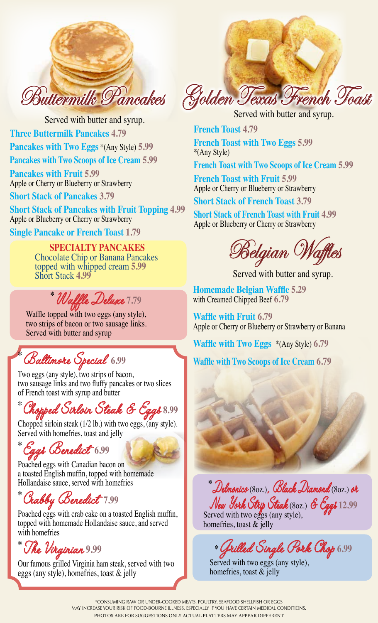

Served with butter and syrup. **Three Buttermilk Pancakes 4.79 Pancakes with Two Eggs** \*(Any Style) **5.99 Pancakes with Two Scoops of Ice Cream 5.99 Pancakes with Fruit 5.99** Apple or Cherry or Blueberry or Strawberry

**Short Stack of Pancakes 3.79**

**Short Stack of Pancakes with Fruit Topping 4.99** Apple or Blueberry or Cherry or Strawberry

**Single Pancake or French Toast 1.79**

**SPECIALTY PANCAKES** Chocolate Chip or Banana Pancakes topped with whipped cream **5.99** Short Stack **4.99**

**\*** Waffle Deluxe **7.79**

Waffle topped with two eggs (any style), two strips of bacon or two sausage links. Served with butter and syrup

**\*** Baltimore Special **6.99**

Two eggs (any style), two strips of bacon, two sausage links and two fluffy pancakes or two slices of French toast with syrup and butter

**\*** Chopped Sirloin Steak & Eggs **8.99**

Chopped sirloin steak (1/2 lb.) with two eggs, (any style). Served with homefries, toast and jelly

**\*** Eggs Benedict **6.99**

Poached eggs with Canadian bacon on a toasted English muffin, topped with homemade Hollandaise sauce, served with homefries

**\*** Crabby Benedict **7.99**

Poached eggs with crab cake on a toasted English muffin, topped with homemade Hollandaise sauce, and served with homefries

**\*** The Virginian **9.99**

Our famous grilled Virginia ham steak, served with two eggs (any style), homefries, toast & jelly

Buttermilk Pancakes Golden Texas French Toast

Served with butter and syrup.

**French Toast 4.79 French Toast with Two Eggs 5.99** \*(Any Style)

**French Toast with Two Scoops of Ice Cream 5.99**

**French Toast with Fruit 5.99** Apple or Cherry or Blueberry or Strawberry

**Short Stack of French Toast 3.79**

**Short Stack of French Toast with Fruit 4.99** Apple or Blueberry or Cherry or Strawberry

 $\delta$ elgian ()

Served with butter and syrup.

**Homemade Belgian Waffle 5.29** with Creamed Chipped Beef **6.79**

**Waffle with Fruit 6.79** Apple or Cherry or Blueberry or Strawberry or Banana

**Waffle with Two Eggs** \*(Any Style) **6.79**

**Waffle with Two Scoops of Ice Cream 6.79**

**\*** Delmonico (8oz.), Black Diamond (8oz.) or New York Strip Steak (8oz.) & Eggs **12.99**

Served with two eggs (any style), homefries, toast & jelly

**\***Grilled Single Pork Chop **6.99**

Served with two eggs (any style), homefries, toast & jelly

\*CONSUMING RAW OR UNDER-COOKED MEATS, POULTRY, SEAFOOD SHELLFISH OR EGGS MAY INCREASE YOUR RISK OF FOOD-BOURNE ILLNESS, ESPECIALLY IF YOU HAVE CERTAIN MEDICAL CONDITIONS. PHOTOS ARE FOR SUGGESTIONS ONLY ACTUAL PLATTERS MAY APPEAR DIFFERENT